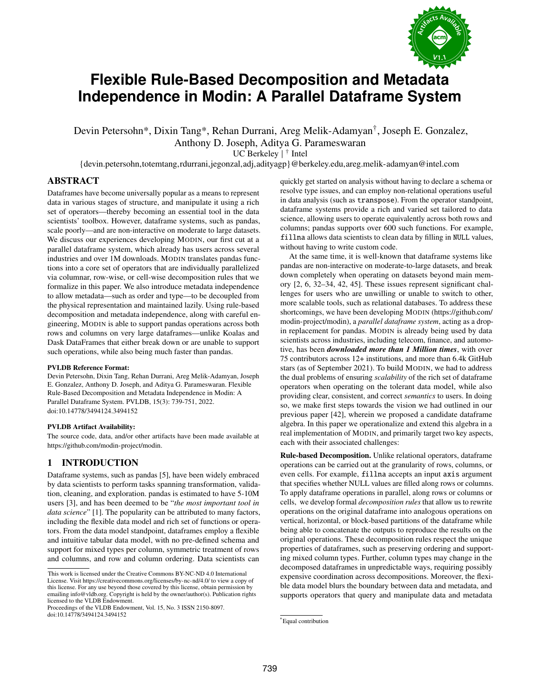

# **Flexible Rule-Based Decomposition and Metadata Independence in Modin: A Parallel Dataframe System**

Devin Petersohn\*, Dixin Tang\*, Rehan Durrani, Areg Melik-Adamyan† , Joseph E. Gonzalez, Anthony D. Joseph, Aditya G. Parameswaran

UC Berkeley | † Intel

{devin.petersohn,totemtang,rdurrani,jegonzal,adj,adityagp}@berkeley.edu,areg.melik-adamyan@intel.com

## ABSTRACT

Dataframes have become universally popular as a means to represent data in various stages of structure, and manipulate it using a rich set of operators—thereby becoming an essential tool in the data scientists' toolbox. However, dataframe systems, such as pandas, scale poorly—and are non-interactive on moderate to large datasets. We discuss our experiences developing MODIN, our first cut at a parallel dataframe system, which already has users across several industries and over 1M downloads. MODIN translates pandas functions into a core set of operators that are individually parallelized via columnar, row-wise, or cell-wise decomposition rules that we formalize in this paper. We also introduce metadata independence to allow metadata—such as order and type—to be decoupled from the physical representation and maintained lazily. Using rule-based decomposition and metadata independence, along with careful engineering, MODIN is able to support pandas operations across both rows and columns on very large dataframes—unlike Koalas and Dask DataFrames that either break down or are unable to support such operations, while also being much faster than pandas.

#### PVLDB Reference Format:

Devin Petersohn, Dixin Tang, Rehan Durrani, Areg Melik-Adamyan, Joseph E. Gonzalez, Anthony D. Joseph, and Aditya G. Parameswaran. Flexible Rule-Based Decomposition and Metadata Independence in Modin: A Parallel Dataframe System. PVLDB, 15(3): 739-751, 2022. [doi:10.14778/3494124.3494152](https://doi.org/10.14778/3494124.3494152)

#### PVLDB Artifact Availability:

The source code, data, and/or other artifacts have been made available at [https://github.com/modin-project/modin.](https://github.com/modin-project/modin)

# 1 INTRODUCTION

Dataframe systems, such as pandas [\[5\]](#page-12-0), have been widely embraced by data scientists to perform tasks spanning transformation, validation, cleaning, and exploration. pandas is estimated to have 5-10M users [\[3\]](#page-12-1), and has been deemed to be "*the most important tool in data science*" [\[1\]](#page-12-2). The popularity can be attributed to many factors, including the flexible data model and rich set of functions or operators. From the data model standpoint, dataframes employ a flexible and intuitive tabular data model, with no pre-defined schema and support for mixed types per column, symmetric treatment of rows and columns, and row and column ordering. Data scientists can

quickly get started on analysis without having to declare a schema or resolve type issues, and can employ non-relational operations useful in data analysis (such as transpose). From the operator standpoint, dataframe systems provide a rich and varied set tailored to data science, allowing users to operate equivalently across both rows and columns; pandas supports over 600 such functions. For example, fillna allows data scientists to clean data by filling in NULL values, without having to write custom code.

At the same time, it is well-known that dataframe systems like pandas are non-interactive on moderate-to-large datasets, and break down completely when operating on datasets beyond main memory [\[2,](#page-12-3) [6,](#page-12-4) [32](#page-12-5)[–34,](#page-12-6) [42,](#page-12-7) [45\]](#page-12-8). These issues represent significant challenges for users who are unwilling or unable to switch to other, more scalable tools, such as relational databases. To address these shortcomings, we have been developing MODIN [\(https://github.com/](https://github.com/modin-project/modin) [modin-project/modin\)](https://github.com/modin-project/modin), a *parallel dataframe system*, acting as a dropin replacement for pandas. MODIN is already being used by data scientists across industries, including telecom, finance, and automotive, has been *downloaded more than 1 Million times*, with over 75 contributors across 12+ institutions, and more than 6.4k GitHub stars (as of September 2021). To build MODIN, we had to address the dual problems of ensuring *scalability* of the rich set of dataframe operators when operating on the tolerant data model, while also providing clear, consistent, and correct *semantics* to users. In doing so, we make first steps towards the vision we had outlined in our previous paper [\[42\]](#page-12-7), wherein we proposed a candidate dataframe algebra. In this paper we operationalize and extend this algebra in a real implementation of MODIN, and primarily target two key aspects, each with their associated challenges:

Rule-based Decomposition. Unlike relational operators, dataframe operations can be carried out at the granularity of rows, columns, or even cells. For example, fillna accepts an input axis argument that specifies whether NULL values are filled along rows or columns. To apply dataframe operations in parallel, along rows or columns or cells, we develop formal *decomposition rules* that allow us to rewrite operations on the original dataframe into analogous operations on vertical, horizontal, or block-based partitions of the dataframe while being able to concatenate the outputs to reproduce the results on the original operations. These decomposition rules respect the unique properties of dataframes, such as preserving ordering and supporting mixed column types. Further, column types may change in the decomposed dataframes in unpredictable ways, requiring possibly expensive coordination across decompositions. Moreover, the flexible data model blurs the boundary between data and metadata, and supports operators that query and manipulate data and metadata

This work is licensed under the Creative Commons BY-NC-ND 4.0 International License. Visit<https://creativecommons.org/licenses/by-nc-nd/4.0/> to view a copy of this license. For any use beyond those covered by this license, obtain permission by emailing [info@vldb.org.](mailto:info@vldb.org) Copyright is held by the owner/author(s). Publication rights licensed to the VLDB Endowment.

Proceedings of the VLDB Endowment, Vol. 15, No. 3 ISSN 2150-8097. [doi:10.14778/3494124.3494152](https://doi.org/10.14778/3494124.3494152)

<sup>\*</sup>Equal contribution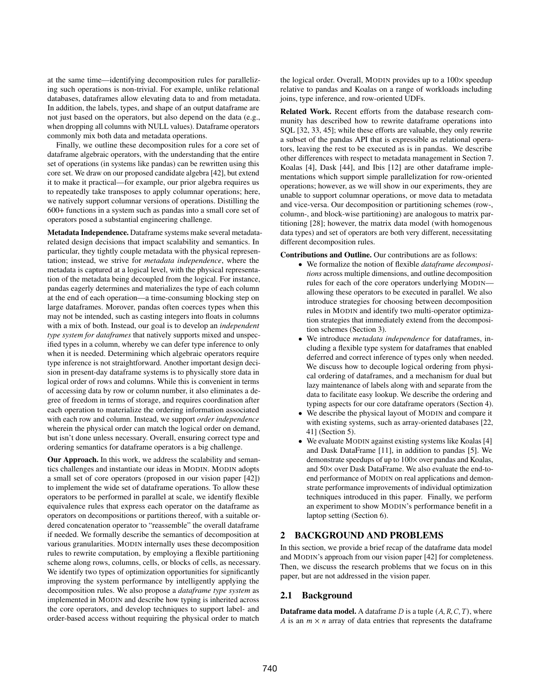at the same time—identifying decomposition rules for parallelizing such operations is non-trivial. For example, unlike relational databases, dataframes allow elevating data to and from metadata. In addition, the labels, types, and shape of an output dataframe are not just based on the operators, but also depend on the data (e.g., when dropping all columns with NULL values). Dataframe operators commonly mix both data and metadata operations.

Finally, we outline these decomposition rules for a core set of dataframe algebraic operators, with the understanding that the entire set of operations (in systems like pandas) can be rewritten using this core set. We draw on our proposed candidate algebra [\[42\]](#page-12-7), but extend it to make it practical—for example, our prior algebra requires us to repeatedly take transposes to apply columnar operations; here, we natively support columnar versions of operations. Distilling the 600+ functions in a system such as pandas into a small core set of operators posed a substantial engineering challenge.

Metadata Independence. Dataframe systems make several metadatarelated design decisions that impact scalability and semantics. In particular, they tightly couple metadata with the physical representation; instead, we strive for *metadata independence*, where the metadata is captured at a logical level, with the physical representation of the metadata being decoupled from the logical. For instance, pandas eagerly determines and materializes the type of each column at the end of each operation—a time-consuming blocking step on large dataframes. Morover, pandas often coerces types when this may not be intended, such as casting integers into floats in columns with a mix of both. Instead, our goal is to develop an *independent type system for dataframes* that natively supports mixed and unspecified types in a column, whereby we can defer type inference to only when it is needed. Determining which algebraic operators require type inference is not straightforward. Another important design decision in present-day dataframe systems is to physically store data in logical order of rows and columns. While this is convenient in terms of accessing data by row or column number, it also eliminates a degree of freedom in terms of storage, and requires coordination after each operation to materialize the ordering information associated with each row and column. Instead, we support *order independence* wherein the physical order can match the logical order on demand, but isn't done unless necessary. Overall, ensuring correct type and ordering semantics for dataframe operators is a big challenge.

Our Approach. In this work, we address the scalability and semantics challenges and instantiate our ideas in MODIN. MODIN adopts a small set of core operators (proposed in our vision paper [\[42\]](#page-12-7)) to implement the wide set of dataframe operations. To allow these operators to be performed in parallel at scale, we identify flexible equivalence rules that express each operator on the dataframe as operators on decompositions or partitions thereof, with a suitable ordered concatenation operator to "reassemble" the overall dataframe if needed. We formally describe the semantics of decomposition at various granularities. MODIN internally uses these decomposition rules to rewrite computation, by employing a flexible partitioning scheme along rows, columns, cells, or blocks of cells, as necessary. We identify two types of optimization opportunities for significantly improving the system performance by intelligently applying the decomposition rules. We also propose a *dataframe type system* as implemented in MODIN and describe how typing is inherited across the core operators, and develop techniques to support label- and order-based access without requiring the physical order to match

the logical order. Overall, MODIN provides up to a 100× speedup relative to pandas and Koalas on a range of workloads including joins, type inference, and row-oriented UDFs.

Related Work. Recent efforts from the database research community has described how to rewrite dataframe operations into SQL [\[32,](#page-12-5) [33,](#page-12-9) [45\]](#page-12-8); while these efforts are valuable, they only rewrite a subset of the pandas API that is expressible as relational operators, leaving the rest to be executed as is in pandas. We describe other differences with respect to metadata management in Section [7.](#page-11-0) Koalas [\[4\]](#page-12-10), Dask [\[44\]](#page-12-11), and Ibis [\[12\]](#page-12-12) are other dataframe implementations which support simple parallelization for row-oriented operations; however, as we will show in our experiments, they are unable to support columnar operations, or move data to metadata and vice-versa. Our decomposition or partitioning schemes (row-, column-, and block-wise partitioning) are analogous to matrix partitioning [\[28\]](#page-12-13); however, the matrix data model (with homogenous data types) and set of operators are both very different, necessitating different decomposition rules.

Contributions and Outline. Our contributions are as follows:

- We formalize the notion of flexible *dataframe decompositions* across multiple dimensions, and outline decomposition rules for each of the core operators underlying MODIN allowing these operators to be executed in parallel. We also introduce strategies for choosing between decomposition rules in MODIN and identify two multi-operator optimization strategies that immediately extend from the decomposition schemes (Section [3\)](#page-2-0).
- We introduce *metadata independence* for dataframes, including a flexible type system for dataframes that enabled deferred and correct inference of types only when needed. We discuss how to decouple logical ordering from physical ordering of dataframes, and a mechanism for dual but lazy maintenance of labels along with and separate from the data to facilitate easy lookup. We describe the ordering and typing aspects for our core dataframe operators (Section [4\)](#page-6-0).
- We describe the physical layout of MODIN and compare it with existing systems, such as array-oriented databases [\[22,](#page-12-14) [41\]](#page-12-15) (Section [5\)](#page-8-0).
- We evaluate MODIN against existing systems like Koalas [\[4\]](#page-12-10) and Dask DataFrame [\[11\]](#page-12-16), in addition to pandas [\[5\]](#page-12-0). We demonstrate speedups of up to 100× over pandas and Koalas, and 50× over Dask DataFrame. We also evaluate the end-toend performance of MODIN on real applications and demonstrate performance improvements of individual optimization techniques introduced in this paper. Finally, we perform an experiment to show MODIN's performance benefit in a laptop setting (Section [6\)](#page-8-1).

## 2 BACKGROUND AND PROBLEMS

In this section, we provide a brief recap of the dataframe data model and MODIN's approach from our vision paper [\[42\]](#page-12-7) for completeness. Then, we discuss the research problems that we focus on in this paper, but are not addressed in the vision paper.

#### 2.1 Background

**Dataframe data model.** A dataframe  $D$  is a tuple  $(A, R, C, T)$ , where A is an  $m \times n$  array of data entries that represents the dataframe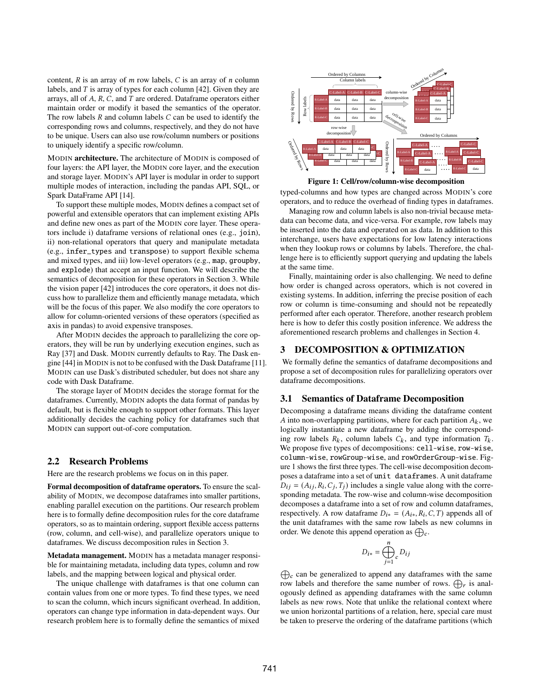content,  $R$  is an array of  $m$  row labels,  $C$  is an array of  $n$  column labels, and  $T$  is array of types for each column [\[42\]](#page-12-7). Given they are arrays, all of  $A$ ,  $R$ ,  $C$ , and  $T$  are ordered. Dataframe operators either maintain order or modify it based the semantics of the operator. The row labels  $R$  and column labels  $C$  can be used to identify the corresponding rows and columns, respectively, and they do not have to be unique. Users can also use row/column numbers or positions to uniquely identify a specific row/column.

MODIN architecture. The architecture of MODIN is composed of four layers: the API layer, the MODIN core layer, and the execution and storage layer. MODIN's API layer is modular in order to support multiple modes of interaction, including the pandas API, SQL, or Spark DataFrame API [\[14\]](#page-12-17).

To support these multiple modes, MODIN defines a compact set of powerful and extensible operators that can implement existing APIs and define new ones as part of the MODIN core layer. These operators include i) dataframe versions of relational ones (e.g., join), ii) non-relational operators that query and manipulate metadata (e.g., infer\_types and transpose) to support flexible schema and mixed types, and iii) low-level operators (e.g., map, groupby, and explode) that accept an input function. We will describe the semantics of decomposition for these operators in Section [3.](#page-2-0) While the vision paper [\[42\]](#page-12-7) introduces the core operators, it does not discuss how to parallelize them and efficiently manage metadata, which will be the focus of this paper. We also modify the core operators to allow for column-oriented versions of these operators (specified as axis in pandas) to avoid expensive transposes.

After MODIN decides the approach to parallelizing the core operators, they will be run by underlying execution engines, such as Ray [\[37\]](#page-12-18) and Dask. MODIN currently defaults to Ray. The Dask engine [\[44\]](#page-12-11) in MODIN is not to be confused with the Dask Dataframe [\[11\]](#page-12-16). MODIN can use Dask's distributed scheduler, but does not share any code with Dask Dataframe.

The storage layer of MODIN decides the storage format for the dataframes. Currently, MODIN adopts the data format of pandas by default, but is flexible enough to support other formats. This layer additionally decides the caching policy for dataframes such that MODIN can support out-of-core computation.

#### 2.2 Research Problems

Here are the research problems we focus on in this paper.

Formal decomposition of dataframe operators. To ensure the scalability of MODIN, we decompose dataframes into smaller partitions, enabling parallel execution on the partitions. Our research problem here is to formally define decomposition rules for the core dataframe operators, so as to maintain ordering, support flexible access patterns (row, column, and cell-wise), and parallelize operators unique to dataframes. We discuss decomposition rules in Section [3.](#page-2-0)

Metadata management. MODIN has a metadata manager responsible for maintaining metadata, including data types, column and row labels, and the mapping between logical and physical order.

The unique challenge with dataframes is that one column can contain values from one or more types. To find these types, we need to scan the column, which incurs significant overhead. In addition, operators can change type information in data-dependent ways. Our research problem here is to formally define the semantics of mixed

<span id="page-2-1"></span>

Figure 1: Cell/row/column-wise decomposition

typed-columns and how types are changed across MODIN's core operators, and to reduce the overhead of finding types in dataframes.

Managing row and column labels is also non-trivial because metadata can become data, and vice-versa. For example, row labels may be inserted into the data and operated on as data. In addition to this interchange, users have expectations for low latency interactions when they lookup rows or columns by labels. Therefore, the challenge here is to efficiently support querying and updating the labels at the same time.

Finally, maintaining order is also challenging. We need to define how order is changed across operators, which is not covered in existing systems. In addition, inferring the precise position of each row or column is time-consuming and should not be repeatedly performed after each operator. Therefore, another research problem here is how to defer this costly position inference. We address the aforementioned research problems and challenges in Section [4.](#page-6-0)

## <span id="page-2-0"></span>3 DECOMPOSITION & OPTIMIZATION

We formally define the semantics of dataframe decompositions and propose a set of decomposition rules for parallelizing operators over dataframe decompositions.

#### 3.1 Semantics of Dataframe Decomposition

Decomposing a dataframe means dividing the dataframe content A into non-overlapping partitions, where for each partition  $A_k$ , we logically instantiate a new dataframe by adding the corresponding row labels  $R_k$ , column labels  $C_k$ , and type information  $T_k$ . We propose five types of decompositions: cell-wise, row-wise, column-wise, rowGroup-wise, and rowOrderGroup-wise. Figure [1](#page-2-1) shows the first three types. The cell-wise decomposition decomposes a dataframe into a set of unit dataframes. A unit dataframe  $D_{ij} = (A_{ij}, R_i, C_j, T_j)$  includes a single value along with the corresponding metadata. The row-wise and column-wise decomposition decomposes a dataframe into a set of row and column dataframes, respectively. A row dataframe  $D_{i*} = (A_{i*}, R_i, C, T)$  appends all of the unit dataframes with the same row labels as new columns in order. We denote this append operation as  $\bigoplus_{c}$ .

$$
D_{i*} = \bigoplus_{j=1}^{n} D_{ij}
$$

 $\bigoplus_c$  can be generalized to append any dataframes with the same row labels and therefore the same number of rows.  $\bigoplus_r$  is analogously defined as appending dataframes with the same column labels as new rows. Note that unlike the relational context where we union horizontal partitions of a relation, here, special care must be taken to preserve the ordering of the dataframe partitions (which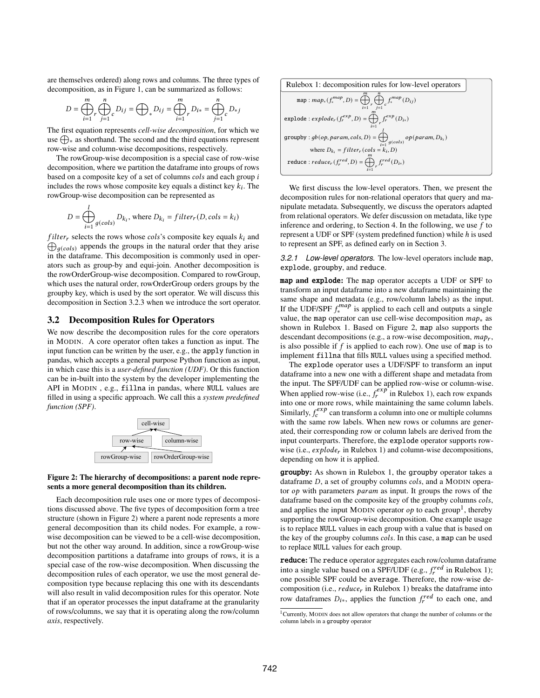are themselves ordered) along rows and columns. The three types of decomposition, as in Figure [1,](#page-2-1) can be summarized as follows:

$$
D = \bigoplus_{i=1}^m r \bigoplus_{j=1}^n c D_{ij} = \bigoplus_* D_{ij} = \bigoplus_{i=1}^m r D_{i*} = \bigoplus_{j=1}^n c D_{*j}
$$

The first equation represents *cell-wise decomposition*, for which we use  $\bigoplus_{\alpha}$  as shorthand. The second and the third equations represent row-wise and column-wise decompositions, respectively.

The rowGroup-wise decomposition is a special case of row-wise decomposition, where we partition the dataframe into groups of rows based on a composite key of a set of columns  $\text{cols}$  and each group  $\textit{i}$ includes the rows whose composite key equals a distinct key  $k_i$ . The rowGroup-wise decomposition can be represented as

$$
D = \bigoplus_{i=1}^{i} g(cols) D_{k_i}, \text{ where } D_{k_i} = filter_r(D, cols = k_i)
$$

 $\bigoplus_{q(cols)}$  appends the groups in the natural order that they arise filter<sub>r</sub> selects the rows whose cols's composite key equals  $k_i$  and in the dataframe. This decomposition is commonly used in operators such as group-by and equi-join. Another decomposition is the rowOrderGroup-wise decomposition. Compared to rowGroup, which uses the natural order, rowOrderGroup orders groups by the groupby key, which is used by the sort operator. We will discuss this decomposition in Section [3.2.3](#page-4-0) when we introduce the sort operator.

#### <span id="page-3-3"></span>3.2 Decomposition Rules for Operators

 $\mathbf{I}$ 

We now describe the decomposition rules for the core operators in MODIN. A core operator often takes a function as input. The input function can be written by the user, e.g., the apply function in pandas, which accepts a general purpose Python function as input, in which case this is a *user-defined function (UDF)*. Or this function can be in-built into the system by the developer implementing the API in MODIN , e.g., fillna in pandas, where NULL values are filled in using a specific approach. We call this a *system predefined function (SPF)*.

<span id="page-3-0"></span>

#### Figure 2: The hierarchy of decompositions: a parent node represents a more general decomposition than its children.

Each decomposition rule uses one or more types of decompositions discussed above. The five types of decomposition form a tree structure (shown in Figure [2\)](#page-3-0) where a parent node represents a more general decomposition than its child nodes. For example, a rowwise decomposition can be viewed to be a cell-wise decomposition, but not the other way around. In addition, since a rowGroup-wise decomposition partitions a dataframe into groups of rows, it is a special case of the row-wise decomposition. When discussing the decomposition rules of each operator, we use the most general decomposition type because replacing this one with its descendants will also result in valid decomposition rules for this operator. Note that if an operator processes the input dataframe at the granularity of rows/columns, we say that it is operating along the row/column *axis*, respectively.

<span id="page-3-1"></span>Rulebox 1: decomposition rules for low-level operators

| m<br>n<br>map: $map_*(f_*^{map}, D) = \bigoplus_r \bigoplus_c f_*^{map}(D_{ij})$<br>$i=1$ $i=1$ |
|-------------------------------------------------------------------------------------------------|
| $\boldsymbol{m}$<br>explode: $explode_r(f_r^{exp}, D) = \bigoplus_r f_r^{exp}(D_{i*})$<br>$i=1$ |
| groupby: $gb(op, param, cols, D) = \bigoplus_{i=1}^{n} g(cols) op(param, D_{k_i})$              |
| where $D_{k_i} = filter_r(cols = k_i, D)$                                                       |
| reduce: $reduce_r(f_r^{red}, D) = \bigoplus_r f_r^{red}(D_{i*})$<br>$i=1$                       |

We first discuss the low-level operators. Then, we present the decomposition rules for non-relational operators that query and manipulate metadata. Subsequently, we discuss the operators adapted from relational operators. We defer discussion on metadata, like type inference and ordering, to Section [4.](#page-6-0) In the following, we use  $f$  to represent a UDF or SPF (system predefined function) while  $h$  is used to represent an SPF, as defined early on in Section [3.](#page-2-0)

*3.2.1 Low-level operators.* The low-level operators include map, explode, groupby, and reduce.

map and explode: The map operator accepts a UDF or SPF to transform an input dataframe into a new dataframe maintaining the same shape and metadata (e.g., row/column labels) as the input. If the UDF/SPF  $f_*^{map}$  $\zeta_i^{map}$  is applied to each cell and outputs a single value, the map operator can use cell-wise decomposition  $map_*$  as shown in Rulebox [1.](#page-3-1) Based on Figure [2,](#page-3-0) map also supports the descendant decompositions (e.g., a row-wise decomposition,  $map_r$ , is also possible if  $f$  is applied to each row). One use of map is to implement fillna that fills NULL values using a specified method.

The explode operator uses a UDF/SPF to transform an input dataframe into a new one with a different shape and metadata from the input. The SPF/UDF can be applied row-wise or column-wise. When applied row-wise (i.e.,  $f_r^{exp}$  in Rulebox [1\)](#page-3-1), each row expands into one or more rows, while maintaining the same column labels.  $\sum_{n=1}^{\infty}$  can transform a column into one or multiple columns with the same row labels. When new rows or columns are generated, their corresponding row or column labels are derived from the input counterparts. Therefore, the explode operator supports rowwise (i.e.,  $explode_r$  in Rulebox [1\)](#page-3-1) and column-wise decompositions, depending on how it is applied.

groupby: As shown in Rulebox [1,](#page-3-1) the groupby operator takes a dataframe  $D$ , a set of groupby columns  $\text{cols}$ , and a MODIN operator  $op$  with parameters *param* as input. It groups the rows of the dataframe based on the composite key of the groupby columns cols, and applies the input MODIN operator  $op$  to each group<sup>[1](#page-3-2)</sup>, thereby supporting the rowGroup-wise decomposition. One example usage is to replace NULL values in each group with a value that is based on the key of the groupby columns cols. In this case, a map can be used to replace NULL values for each group.

reduce: The reduce operator aggregates each row/column dataframe into a single value based on a SPF/UDF (e.g.,  $f_r^{red}$  in Rulebox [1\)](#page-3-1); one possible SPF could be average. Therefore, the row-wise decomposition (i.e.,  $reduce<sub>r</sub>$  in Rulebox [1\)](#page-3-1) breaks the dataframe into row dataframes  $D_{i*}$ , applies the function  $f_r^{red}$  to each one, and

<span id="page-3-2"></span><sup>1</sup>Currently, MODIN does not allow operators that change the number of columns or the column labels in a groupby operator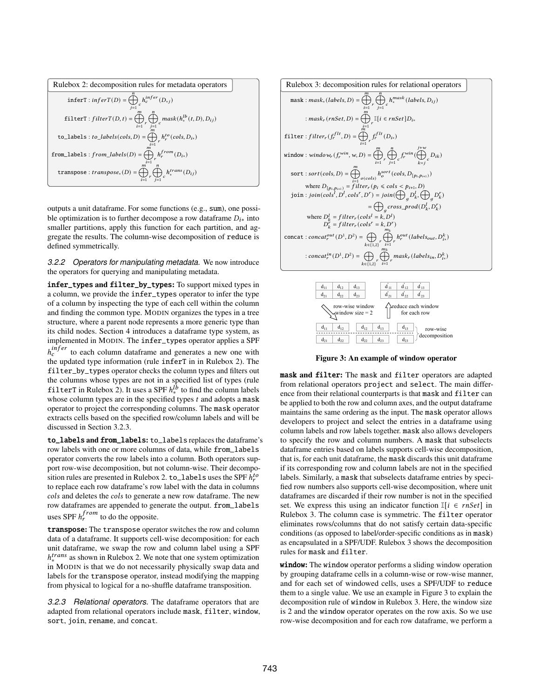<span id="page-4-1"></span>

| Rulebox 2: decomposition rules for metadata operators                                               |
|-----------------------------------------------------------------------------------------------------|
| $\texttt{inferT}: \textit{inferT}(D) = \bigoplus\nolimits_{c} h^{infer}_c(D_{*j})$                  |
| filterT : filterT(D, t) = $\bigoplus_r \bigoplus_c mask(h_*^{lb}(t,D), D_{ij})$<br>$i=1$<br>$i=1$   |
| $\boldsymbol{m}$<br>to_labels : to_labels(cols, D) = $\bigoplus_r h_r^{to}(cols, D_{i*})$           |
| from_labels : $from\_labels(D) = \bigoplus_r h_r^{from}(D_{i*})$                                    |
| $\boldsymbol{m}$<br>n<br>transpose : $transpose_*(D) = \bigoplus_r \bigoplus_c h_*^{trans}(D_{ij})$ |

outputs a unit dataframe. For some functions (e.g., sum), one possible optimization is to further decompose a row dataframe  $D_{i*}$  into smaller partitions, apply this function for each partition, and aggregate the results. The column-wise decomposition of reduce is defined symmetrically.

*3.2.2 Operators for manipulating metadata.* We now introduce the operators for querying and manipulating metadata.

infer\_types and filter\_by\_types: To support mixed types in a column, we provide the infer\_types operator to infer the type of a column by inspecting the type of each cell within the column and finding the common type. MODIN organizes the types in a tree structure, where a parent node represents a more generic type than its child nodes. Section [4](#page-6-0) introduces a dataframe type system, as implemented in MODIN. The infer\_types operator applies a SPF  $h_c^{infer}$  to each column dataframe and generates a new one with the updated type information (rule inferT in in Rulebox [2\)](#page-4-1). The filter\_by\_types operator checks the column types and filters out the columns whose types are not in a specified list of types (rule filterT in Rulebox [2\)](#page-4-1). It uses a SPF  $h_*^{I\overline{b}}$  to find the column labels whose column types are in the specified types  $t$  and adopts a mask operator to project the corresponding columns. The mask operator extracts cells based on the specified row/column labels and will be discussed in Section [3.2.3.](#page-4-0)

to\_labels and from\_labels: to\_labels replaces the dataframe's row labels with one or more columns of data, while from\_labels operator converts the row labels into a column. Both operators support row-wise decomposition, but not column-wise. Their decompo-sition rules are presented in Rulebox [2.](#page-4-1) to\_labels uses the SPF  $h_r^{to}$ to replace each row dataframe's row label with the data in columns cols and deletes the cols to generate a new row dataframe. The new row dataframes are appended to generate the output. from\_labels uses SPF  $h_r^{from}$  to do the opposite.

transpose: The transpose operator switches the row and column data of a dataframe. It supports cell-wise decomposition: for each unit dataframe, we swap the row and column label using a SPF  $h<sub>*</sub><sup>trans</sup>$  as shown in Rulebox [2.](#page-4-1) We note that one system optimization in MODIN is that we do not necessarily physically swap data and labels for the transpose operator, instead modifying the mapping from physical to logical for a no-shuffle dataframe transposition.

<span id="page-4-0"></span>*3.2.3 Relational operators.* The dataframe operators that are adapted from relational operators include mask, filter, window, sort, join, rename, and concat.

<span id="page-4-2"></span>

<span id="page-4-3"></span>

Figure 3: An example of window operator

mask and filter: The mask and filter operators are adapted from relational operators project and select. The main difference from their relational counterparts is that mask and filter can be applied to both the row and column axes, and the output dataframe maintains the same ordering as the input. The mask operator allows developers to project and select the entries in a dataframe using column labels and row labels together. mask also allows developers to specify the row and column numbers. A mask that subselects dataframe entries based on labels supports cell-wise decomposition, that is, for each unit dataframe, the mask discards this unit dataframe if its corresponding row and column labels are not in the specified labels. Similarly, a mask that subselects dataframe entries by specified row numbers also supports cell-wise decomposition, where unit dataframes are discarded if their row number is not in the specified set. We express this using an indicator function  $\mathbb{I}[i \in \text{rnset}]$  in Rulebox [3.](#page-4-2) The column case is symmetric. The filter operator eliminates rows/columns that do not satisfy certain data-specific conditions (as opposed to label/order-specific conditions as in mask) as encapsulated in a SPF/UDF. Rulebox [3](#page-4-2) shows the decomposition rules for mask and filter.

window: The window operator performs a sliding window operation by grouping dataframe cells in a column-wise or row-wise manner, and for each set of windowed cells, uses a SPF/UDF to reduce them to a single value. We use an example in Figure [3](#page-4-3) to explain the decomposition rule of window in Rulebox [3.](#page-4-2) Here, the window size is 2 and the window operator operates on the row axis. So we use row-wise decomposition and for each row dataframe, we perform a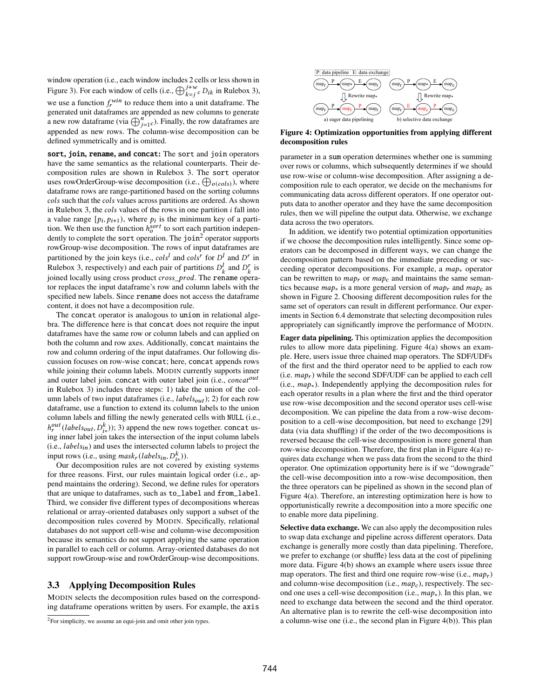window operation (i.e., each window includes 2 cells or less shown in Figure [3\)](#page-4-2). For each window of cells (i.e.,  $\bigoplus_{k=1}^{j+w} c D_{ik}$  in Rulebox 3), we use a function  $f_r^{win}$  to reduce them into a unit dataframe. The generated unit dataframes are appended as new columns to generate a new row dataframe (via  $\bigoplus_{j=1}^{n} c$ ). Finally, the row dataframes are appended as new rows. The column-wise decomposition can be defined symmetrically and is omitted.

sort, join, rename, and concat: The sort and join operators have the same semantics as the relational counterparts. Their decomposition rules are shown in Rulebox [3.](#page-4-2) The sort operator uses rowOrderGroup-wise decomposition (i.e.,  $\bigoplus_{o(cols)}$ ), where dataframe rows are range-partitioned based on the sorting columns cols such that the cols values across partitions are ordered. As shown in Rulebox [3,](#page-4-2) the *cols* values of the rows in one partition  $i$  fall into a value range  $[p_i, p_{i+1})$ , where  $p_i$  is the minimum key of a partition. We then use the function  $h_0^{sort}$  to sort each partition indepen-dently to complete the sort operation. The join<sup>[2](#page-5-0)</sup> operator supports rowGroup-wise decomposition. The rows of input dataframes are partitioned by the join keys (i.e.,  $\text{cols}^l$  and  $\text{cols}^r$  for  $D^l$  and  $D^r$  in Rulebox [3,](#page-4-2) respectively) and each pair of partitions  $D_k^l$  and  $D_k^r$  is joined locally using cross product cross\_prod. The rename operator replaces the input dataframe's row and column labels with the specified new labels. Since rename does not access the dataframe content, it does not have a decomposition rule.

The concat operator is analogous to union in relational algebra. The difference here is that concat does not require the input dataframes have the same row or column labels and can applied on both the column and row axes. Additionally, concat maintains the row and column ordering of the input dataframes. Our following discussion focuses on row-wise concat; here, concat appends rows while joining their column labels. MODIN currently supports inner and outer label join. concat with outer label join (i.e., concat<sup>out</sup> in Rulebox [3\)](#page-4-2) includes three steps: 1) take the union of the column labels of two input dataframes (i.e.,  $labels_{out}$ ); 2) for each row dataframe, use a function to extend its column labels to the union column labels and filling the newly generated cells with NULL (i.e.,  $h_r^{out}(labels_{out}, D_{i*}^k))$ ; 3) append the new rows together. concat using inner label join takes the intersection of the input column labels  $(i.e., labels_{in})$  and uses the intersected column labels to project the input rows (i.e., using  ${mask}_r (labels_{in}, D_{i*}^k)$ ).

Our decomposition rules are not covered by existing systems for three reasons. First, our rules maintain logical order (i.e., append maintains the ordering). Second, we define rules for operators that are unique to dataframes, such as to\_label and from\_label. Third, we consider five different types of decompositions whereas relational or array-oriented databases only support a subset of the decomposition rules covered by MODIN. Specifically, relational databases do not support cell-wise and column-wise decomposition because its semantics do not support applying the same operation in parallel to each cell or column. Array-oriented databases do not support rowGroup-wise and rowOrderGroup-wise decompositions.

#### <span id="page-5-2"></span>3.3 Applying Decomposition Rules

MODIN selects the decomposition rules based on the corresponding dataframe operations written by users. For example, the axis

<span id="page-5-1"></span>

Figure 4: Optimization opportunities from applying different decomposition rules

parameter in a sum operation determines whether one is summing over rows or columns, which subsequently determines if we should use row-wise or column-wise decomposition. After assigning a decomposition rule to each operator, we decide on the mechanisms for communicating data across different operators. If one operator outputs data to another operator and they have the same decomposition rules, then we will pipeline the output data. Otherwise, we exchange data across the two operators.

In addition, we identify two potential optimization opportunities if we choose the decomposition rules intelligently. Since some operators can be decomposed in different ways, we can change the decomposition pattern based on the immediate preceding or succeeding operator decompositions. For example, a  $map_*$  operator can be rewritten to  $map_r$  or  $map_c$  and maintains the same semantics because  $map_*$  is a more general version of  $map_*$  and  $map_c$  as shown in Figure [2.](#page-3-0) Choosing different decomposition rules for the same set of operators can result in different performance. Our experiments in Section [6.4](#page-10-0) demonstrate that selecting decomposition rules appropriately can significantly improve the performance of MODIN.

Eager data pipelining. This optimization applies the decomposition rules to allow more data pipelining. Figure [4\(](#page-5-1)a) shows an example. Here, users issue three chained map operators. The SDF/UDFs of the first and the third operator need to be applied to each row (i.e.  $map_r$ ) while the second SDF/UDF can be applied to each cell (i.e.,  $map_*$ ). Independently applying the decomposition rules for each operator results in a plan where the first and the third operator use row-wise decomposition and the second operator uses cell-wise decomposition. We can pipeline the data from a row-wise decomposition to a cell-wise decomposition, but need to exchange [\[29\]](#page-12-19) data (via data shuffling) if the order of the two decompositions is reversed because the cell-wise decomposition is more general than row-wise decomposition. Therefore, the first plan in Figure [4\(](#page-5-1)a) requires data exchange when we pass data from the second to the third operator. One optimization opportunity here is if we "downgrade" the cell-wise decomposition into a row-wise decomposition, then the three operators can be pipelined as shown in the second plan of Figure [4\(](#page-5-1)a). Therefore, an interesting optimization here is how to opportunistically rewrite a decomposition into a more specific one to enable more data pipelining.

Selective data exchange. We can also apply the decomposition rules to swap data exchange and pipeline across different operators. Data exchange is generally more costly than data pipelining. Therefore, we prefer to exchange (or shuffle) less data at the cost of pipelining more data. Figure [4\(](#page-5-1)b) shows an example where users issue three map operators. The first and third one require row-wise (i.e.,  $map_r$ ) and column-wise decomposition (i.e.,  $map_c$ ), respectively. The second one uses a cell-wise decomposition (i.e.,  $map_*$ ). In this plan, we need to exchange data between the second and the third operator. An alternative plan is to rewrite the cell-wise decomposition into a column-wise one (i.e., the second plan in Figure [4\(](#page-5-1)b)). This plan

<span id="page-5-0"></span><sup>2</sup>For simplicity, we assume an equi-join and omit other join types.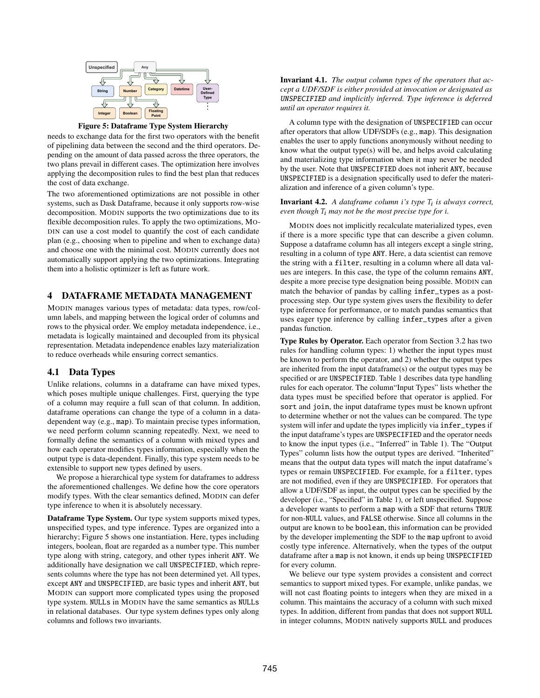<span id="page-6-1"></span>

Figure 5: Dataframe Type System Hierarchy

needs to exchange data for the first two operators with the benefit of pipelining data between the second and the third operators. Depending on the amount of data passed across the three operators, the two plans prevail in different cases. The optimization here involves applying the decomposition rules to find the best plan that reduces the cost of data exchange.

The two aforementioned optimizations are not possible in other systems, such as Dask Dataframe, because it only supports row-wise decomposition. MODIN supports the two optimizations due to its flexible decomposition rules. To apply the two optimizations, MO-DIN can use a cost model to quantify the cost of each candidate plan (e.g., choosing when to pipeline and when to exchange data) and choose one with the minimal cost. MODIN currently does not automatically support applying the two optimizations. Integrating them into a holistic optimizer is left as future work.

## <span id="page-6-0"></span>4 DATAFRAME METADATA MANAGEMENT

MODIN manages various types of metadata: data types, row/column labels, and mapping between the logical order of columns and rows to the physical order. We employ metadata independence, i.e., metadata is logically maintained and decoupled from its physical representation. Metadata independence enables lazy materialization to reduce overheads while ensuring correct semantics.

## <span id="page-6-2"></span>4.1 Data Types

Unlike relations, columns in a dataframe can have mixed types, which poses multiple unique challenges. First, querying the type of a column may require a full scan of that column. In addition, dataframe operations can change the type of a column in a datadependent way (e.g., map). To maintain precise types information, we need perform column scanning repeatedly. Next, we need to formally define the semantics of a column with mixed types and how each operator modifies types information, especially when the output type is data-dependent. Finally, this type system needs to be extensible to support new types defined by users.

We propose a hierarchical type system for dataframes to address the aforementioned challenges. We define how the core operators modify types. With the clear semantics defined, MODIN can defer type inference to when it is absolutely necessary.

Dataframe Type System. Our type system supports mixed types, unspecified types, and type inference. Types are organized into a hierarchy; Figure [5](#page-6-1) shows one instantiation. Here, types including integers, boolean, float are regarded as a number type. This number type along with string, category, and other types inherit ANY. We additionally have designation we call UNSPECIFIED, which represents columns where the type has not been determined yet. All types, except ANY and UNSPECIFIED, are basic types and inherit ANY, but MODIN can support more complicated types using the proposed type system. NULLs in MODIN have the same semantics as NULLs in relational databases. Our type system defines types only along columns and follows two invariants.

Invariant 4.1. *The output column types of the operators that accept a UDF/SDF is either provided at invocation or designated as* UNSPECIFIED *and implicitly inferred. Type inference is deferred until an operator requires it.*

A column type with the designation of UNSPECIFIED can occur after operators that allow UDF/SDFs (e.g., map). This designation enables the user to apply functions anonymously without needing to know what the output type(s) will be, and helps avoid calculating and materializing type information when it may never be needed by the user. Note that UNSPECIFIED does not inherit ANY, because UNSPECIFIED is a designation specifically used to defer the materialization and inference of a given column's type.

## Invariant 4.2. A dataframe column *i's type*  $T_i$  *is always correct, even though*  $T_i$  *may not be the most precise type for i.*

MODIN does not implicitly recalculate materialized types, even if there is a more specific type that can describe a given column. Suppose a dataframe column has all integers except a single string, resulting in a column of type ANY. Here, a data scientist can remove the string with a filter, resulting in a column where all data values are integers. In this case, the type of the column remains ANY, despite a more precise type designation being possible. MODIN can match the behavior of pandas by calling infer\_types as a postprocessing step. Our type system gives users the flexibility to defer type inference for performance, or to match pandas semantics that uses eager type inference by calling infer\_types after a given pandas function.

Type Rules by Operator. Each operator from Section [3.2](#page-3-3) has two rules for handling column types: 1) whether the input types must be known to perform the operator, and 2) whether the output types are inherited from the input dataframe(s) or the output types may be specified or are UNSPECIFIED. Table [1](#page-7-0) describes data type handling rules for each operator. The column"Input Types" lists whether the data types must be specified before that operator is applied. For sort and join, the input dataframe types must be known upfront to determine whether or not the values can be compared. The type system will infer and update the types implicitly via infer\_types if the input dataframe's types are UNSPECIFIED and the operator needs to know the input types (i.e., "Inferred" in Table [1\)](#page-7-0). The "Output Types" column lists how the output types are derived. "Inherited" means that the output data types will match the input dataframe's types or remain UNSPECIFIED. For example, for a filter, types are not modified, even if they are UNSPECIFIED. For operators that allow a UDF/SDF as input, the output types can be specified by the developer (i.e., "Specified" in Table [1\)](#page-7-0), or left unspecified. Suppose a developer wants to perform a map with a SDF that returns TRUE for non-NULL values, and FALSE otherwise. Since all columns in the output are known to be boolean, this information can be provided by the developer implementing the SDF to the map upfront to avoid costly type inference. Alternatively, when the types of the output dataframe after a map is not known, it ends up being UNSPECIFIED for every column.

We believe our type system provides a consistent and correct semantics to support mixed types. For example, unlike pandas, we will not cast floating points to integers when they are mixed in a column. This maintains the accuracy of a column with such mixed types. In addition, different from pandas that does not support NULL in integer columns, MODIN natively supports NULL and produces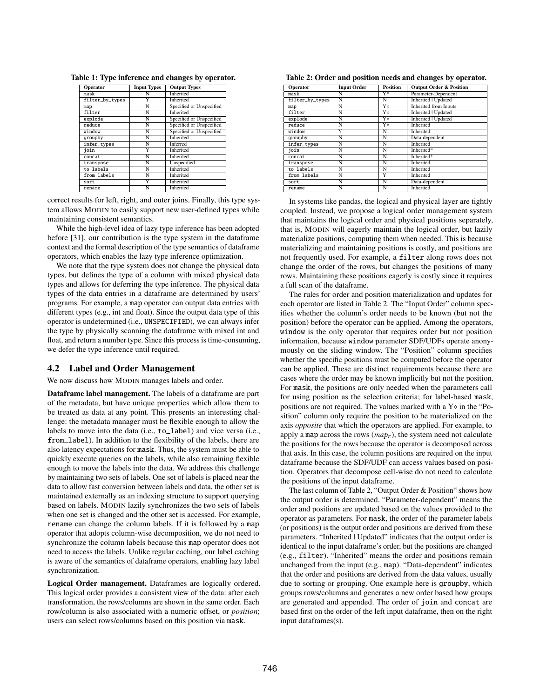| <b>Operator</b> | <b>Input Types</b> | <b>Output Types</b>      |
|-----------------|--------------------|--------------------------|
| mask            | N                  | <b>Inherited</b>         |
| filter_by_types |                    | <b>Inherited</b>         |
| map             | N                  | Specified or Unspecified |
| filter          | N                  | <b>Inherited</b>         |
| explode         | N                  | Specified or Unspecified |
| reduce          | Ñ                  | Specified or Unspecified |
| window          | Ñ                  | Specified or Unspecified |
| groupby         | N                  | <b>Inherited</b>         |
| infer_types     | N                  | <b>Inferred</b>          |
| join            | Ÿ                  | <b>Inherited</b>         |
| concat          | N                  | <b>Inherited</b>         |
| transpose       | N                  | Unspecified              |
| to_labels       | N                  | <b>Inherited</b>         |
| from labels     | N                  | <b>Inherited</b>         |
| sort            |                    | <b>Inherited</b>         |
| rename          | N                  | <b>Inherited</b>         |

<span id="page-7-0"></span>Table 1: Type inference and changes by operator.

correct results for left, right, and outer joins. Finally, this type system allows MODIN to easily support new user-defined types while maintaining consistent semantics.

While the high-level idea of lazy type inference has been adopted before [\[31\]](#page-12-20), our contribution is the type system in the dataframe context and the formal description of the type semantics of dataframe operators, which enables the lazy type inference optimization.

We note that the type system does not change the physical data types, but defines the type of a column with mixed physical data types and allows for deferring the type inference. The physical data types of the data entries in a dataframe are determined by users' programs. For example, a map operator can output data entries with different types (e.g., int and float). Since the output data type of this operator is undetermined (i.e., UNSPECIFIED), we can always infer the type by physically scanning the dataframe with mixed int and float, and return a number type. Since this process is time-consuming, we defer the type inference until required.

## 4.2 Label and Order Management

We now discuss how MODIN manages labels and order.

Dataframe label management. The labels of a dataframe are part of the metadata, but have unique properties which allow them to be treated as data at any point. This presents an interesting challenge: the metadata manager must be flexible enough to allow the labels to move into the data (i.e., to\_label) and vice versa (i.e., from\_label). In addition to the flexibility of the labels, there are also latency expectations for mask. Thus, the system must be able to quickly execute queries on the labels, while also remaining flexible enough to move the labels into the data. We address this challenge by maintaining two sets of labels. One set of labels is placed near the data to allow fast conversion between labels and data, the other set is maintained externally as an indexing structure to support querying based on labels. MODIN lazily synchronizes the two sets of labels when one set is changed and the other set is accessed. For example, rename can change the column labels. If it is followed by a map operator that adopts column-wise decomposition, we do not need to synchronize the column labels because this map operator does not need to access the labels. Unlike regular caching, our label caching is aware of the semantics of dataframe operators, enabling lazy label synchronization.

Logical Order management. Dataframes are logically ordered. This logical order provides a consistent view of the data: after each transformation, the rows/columns are shown in the same order. Each row/column is also associated with a numeric offset, or *position*; users can select rows/columns based on this position via mask.

<span id="page-7-1"></span>Table 2: Order and position needs and changes by operator.

| Operator        | <b>Input Order</b> | <b>Position</b>    | <b>Output Order &amp; Position</b> |
|-----------------|--------------------|--------------------|------------------------------------|
| mask            | N                  | $_{\rm Y*}$        | Parameter-Dependent                |
| filter_by_types | Ñ                  | $\overline{\sf N}$ | <b>Inherited   Updated</b>         |
| map             | Ñ                  | Y٥                 | <b>Inherited from Inputs</b>       |
| filter          | N                  | Y٥                 | <b>Inherited   Updated</b>         |
| explode         | Ñ                  | Y٥                 | Inherited   Updated                |
| reduce          | Ñ                  | Y٥                 | <b>Inherited</b>                   |
| window          | Y                  | N                  | <b>Inherited</b>                   |
| groupby         | Ñ                  | Ñ                  | Data-dependent                     |
| infer_types     | Ñ                  | N                  | <b>Inherited</b>                   |
| join            | N                  | Ñ                  | Inherited*                         |
| concat          | Ñ                  | N                  | Inherited*                         |
| transpose       | Ñ                  | Ñ                  | Inherited                          |
| to labels       | N                  | N                  | Inherited                          |
| from labels     | Ñ                  | Ÿ                  | <b>Inherited</b>                   |
| sort            | N                  | N                  | Data-dependent                     |
| rename          | N                  | N                  | Inherited                          |

In systems like pandas, the logical and physical layer are tightly coupled. Instead, we propose a logical order management system that maintains the logical order and physical positions separately, that is, MODIN will eagerly maintain the logical order, but lazily materialize positions, computing them when needed. This is because materializing and maintaining positions is costly, and positions are not frequently used. For example, a filter along rows does not change the order of the rows, but changes the positions of many rows. Maintaining these positions eagerly is costly since it requires a full scan of the dataframe.

The rules for order and position materialization and updates for each operator are listed in Table [2.](#page-7-1) The "Input Order" column specifies whether the column's order needs to be known (but not the position) before the operator can be applied. Among the operators, window is the only operator that requires order but not position information, because window parameter SDF/UDFs operate anonymously on the sliding window. The "Position" column specifies whether the specific positions must be computed before the operator can be applied. These are distinct requirements because there are cases where the order may be known implicitly but not the position. For mask, the positions are only needed when the parameters call for using position as the selection criteria; for label-based mask, positions are not required. The values marked with a  $Y \circ$  in the "Position" column only require the position to be materialized on the axis *opposite* that which the operators are applied. For example, to apply a map across the rows  $(map_r)$ , the system need not calculate the positions for the rows because the operator is decomposed across that axis. In this case, the column positions are required on the input dataframe because the SDF/UDF can access values based on position. Operators that decompose cell-wise do not need to calculate the positions of the input dataframe.

The last column of Table [2,](#page-7-1) "Output Order & Position" shows how the output order is determined. "Parameter-dependent" means the order and positions are updated based on the values provided to the operator as parameters. For mask, the order of the parameter labels (or positions) is the output order and positions are derived from these parameters. "Inherited | Updated" indicates that the output order is identical to the input dataframe's order, but the positions are changed (e.g., filter). "Inherited" means the order and positions remain unchanged from the input (e.g., map). "Data-dependent" indicates that the order and positions are derived from the data values, usually due to sorting or grouping. One example here is groupby, which groups rows/columns and generates a new order based how groups are generated and appended. The order of join and concat are based first on the order of the left input dataframe, then on the right input dataframes(s).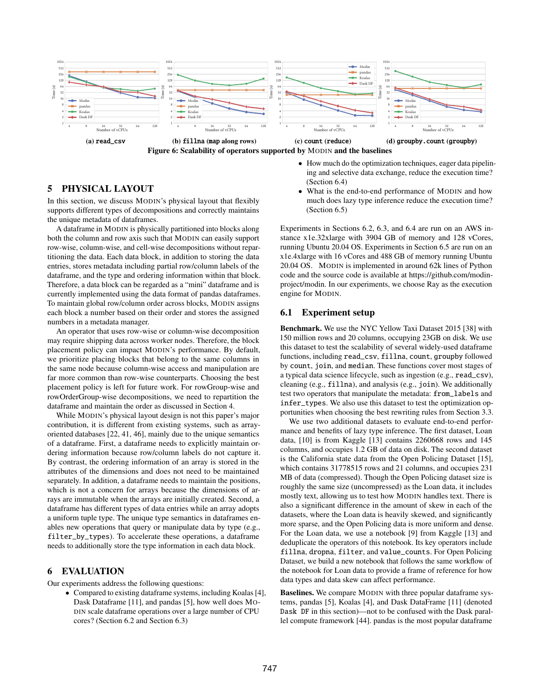<span id="page-8-2"></span>



# <span id="page-8-0"></span>5 PHYSICAL LAYOUT

In this section, we discuss MODIN's physical layout that flexibly supports different types of decompositions and correctly maintains the unique metadata of dataframes.

A dataframe in MODIN is physically partitioned into blocks along both the column and row axis such that MODIN can easily support row-wise, column-wise, and cell-wise decompositions without repartitioning the data. Each data block, in addition to storing the data entries, stores metadata including partial row/column labels of the dataframe, and the type and ordering information within that block. Therefore, a data block can be regarded as a "mini" dataframe and is currently implemented using the data format of pandas dataframes. To maintain global row/column order across blocks, MODIN assigns each block a number based on their order and stores the assigned numbers in a metadata manager.

An operator that uses row-wise or column-wise decomposition may require shipping data across worker nodes. Therefore, the block placement policy can impact MODIN's performance. By default, we prioritize placing blocks that belong to the same columns in the same node because column-wise access and manipulation are far more common than row-wise counterparts. Choosing the best placement policy is left for future work. For rowGroup-wise and rowOrderGroup-wise decompositions, we need to repartition the dataframe and maintain the order as discussed in Section [4.](#page-6-0)

While MODIN's physical layout design is not this paper's major contribution, it is different from existing systems, such as arrayoriented databases [\[22,](#page-12-14) [41,](#page-12-15) [46\]](#page-12-21), mainly due to the unique semantics of a dataframe. First, a dataframe needs to explicitly maintain ordering information because row/column labels do not capture it. By contrast, the ordering information of an array is stored in the attributes of the dimensions and does not need to be maintained separately. In addition, a dataframe needs to maintain the positions, which is not a concern for arrays because the dimensions of arrays are immutable when the arrays are initially created. Second, a dataframe has different types of data entries while an array adopts a uniform tuple type. The unique type semantics in dataframes enables new operations that query or manipulate data by type (e.g., filter\_by\_types). To accelerate these operations, a dataframe needs to additionally store the type information in each data block.

## <span id="page-8-1"></span>6 EVALUATION

Our experiments address the following questions:

• Compared to existing dataframe systems, including Koalas [\[4\]](#page-12-10), Dask Dataframe [\[11\]](#page-12-16), and pandas [\[5\]](#page-12-0), how well does MO-DIN scale dataframe operations over a large number of CPU cores? (Section [6.2](#page-9-0) and Section [6.3\)](#page-9-1)

- How much do the optimization techniques, eager data pipelining and selective data exchange, reduce the execution time? (Section [6.4\)](#page-10-0)
- What is the end-to-end performance of MODIN and how much does lazy type inference reduce the execution time? (Section [6.5\)](#page-10-1)

Experiments in Sections [6.2,](#page-9-0) [6.3,](#page-9-1) and [6.4](#page-10-0) are run on an AWS instance x1e.32xlarge with 3904 GB of memory and 128 vCores, running Ubuntu 20.04 OS. Experiments in Section [6.5](#page-10-1) are run on an x1e.4xlarge with 16 vCores and 488 GB of memory running Ubuntu 20.04 OS. MODIN is implemented in around 62k lines of Python code and the source code is available at [https://github.com/modin](https://github.com/modin-project/modin)[project/modin.](https://github.com/modin-project/modin) In our experiments, we choose Ray as the execution engine for MODIN.

#### 6.1 Experiment setup

Benchmark. We use the NYC Yellow Taxi Dataset 2015 [\[38\]](#page-12-22) with 150 million rows and 20 columns, occupying 23GB on disk. We use this dataset to test the scalability of several widely-used dataframe functions, including read\_csv, fillna, count, groupby followed by count, join, and median. These functions cover most stages of a typical data science lifecycle, such as ingestion (e.g., read\_csv), cleaning (e.g., fillna), and analysis (e.g., join). We additionally test two operators that manipulate the metadata: from\_labels and infer\_types. We also use this dataset to test the optimization opportunities when choosing the best rewriting rules from Section [3.3.](#page-5-2)

We use two additional datasets to evaluate end-to-end performance and benefits of lazy type inference. The first dataset, Loan data, [\[10\]](#page-12-23) is from Kaggle [\[13\]](#page-12-24) contains 2260668 rows and 145 columns, and occupies 1.2 GB of data on disk. The second dataset is the California state data from the Open Policing Dataset [\[15\]](#page-12-25), which contains 31778515 rows and 21 columns, and occupies 231 MB of data (compressed). Though the Open Policing dataset size is roughly the same size (uncompressed) as the Loan data, it includes mostly text, allowing us to test how MODIN handles text. There is also a significant difference in the amount of skew in each of the datasets, where the Loan data is heavily skewed, and significantly more sparse, and the Open Policing data is more uniform and dense. For the Loan data, we use a notebook [\[9\]](#page-12-26) from Kaggle [\[13\]](#page-12-24) and deduplicate the operators of this notebook. Its key operators include fillna, dropna, filter, and value\_counts. For Open Policing Dataset, we build a new notebook that follows the same workflow of the notebook for Loan data to provide a frame of reference for how data types and data skew can affect performance.

Baselines. We compare MODIN with three popular dataframe systems, pandas [\[5\]](#page-12-0), Koalas [\[4\]](#page-12-10), and Dask DataFrame [\[11\]](#page-12-16) (denoted Dask DF in this section)—not to be confused with the Dask parallel compute framework [\[44\]](#page-12-11). pandas is the most popular dataframe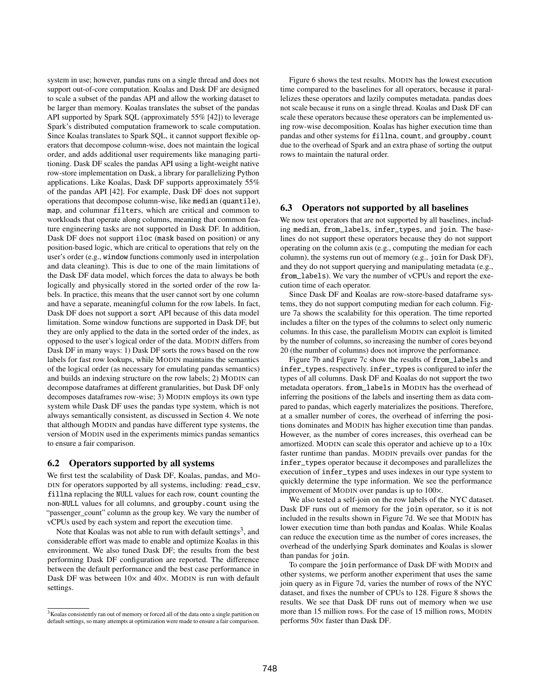system in use; however, pandas runs on a single thread and does not support out-of-core computation. Koalas and Dask DF are designed to scale a subset of the pandas API and allow the working dataset to be larger than memory. Koalas translates the subset of the pandas API supported by Spark SQL (approximately 55% [\[42\]](#page-12-7)) to leverage Spark's distributed computation framework to scale computation. Since Koalas translates to Spark SQL, it cannot support flexible operators that decompose column-wise, does not maintain the logical order, and adds additional user requirements like managing partitioning. Dask DF scales the pandas API using a light-weight native row-store implementation on Dask, a library for parallelizing Python applications. Like Koalas, Dask DF supports approximately 55% of the pandas API [\[42\]](#page-12-7). For example, Dask DF does not support operations that decompose column-wise, like median (quantile), map, and columnar filters, which are critical and common to workloads that operate along columns, meaning that common feature engineering tasks are not supported in Dask DF. In addition, Dask DF does not support iloc (mask based on position) or any position-based logic, which are critical to operations that rely on the user's order (e.g., window functions commonly used in interpolation and data cleaning). This is due to one of the main limitations of the Dask DF data model, which forces the data to always be both logically and physically stored in the sorted order of the row labels. In practice, this means that the user cannot sort by one column and have a separate, meaningful column for the row labels. In fact, Dask DF does not support a sort API because of this data model limitation. Some window functions are supported in Dask DF, but they are only applied to the data in the sorted order of the index, as opposed to the user's logical order of the data. MODIN differs from Dask DF in many ways: 1) Dask DF sorts the rows based on the row labels for fast row lookups, while MODIN maintains the semantics of the logical order (as necessary for emulating pandas semantics) and builds an indexing structure on the row labels; 2) MODIN can decompose dataframes at different granularities, but Dask DF only decomposes dataframes row-wise; 3) MODIN employs its own type system while Dask DF uses the pandas type system, which is not always semantically consistent, as discussed in Section [4.](#page-6-0) We note that although MODIN and pandas have different type systems, the version of MODIN used in the experiments mimics pandas semantics to ensure a fair comparison.

#### <span id="page-9-0"></span>6.2 Operators supported by all systems

We first test the scalability of Dask DF, Koalas, pandas, and MO-DIN for operators supported by all systems, including: read\_csv, fillna replacing the NULL values for each row, count counting the non-NULL values for all columns, and groupby.count using the "passenger\_count" column as the group key. We vary the number of vCPUs used by each system and report the execution time.

Note that Koalas was not able to run with default settings $^3$  $^3$ , and considerable effort was made to enable and optimize Koalas in this environment. We also tuned Dask DF; the results from the best performing Dask DF configuration are reported. The difference between the default performance and the best case performance in Dask DF was between  $10\times$  and  $40\times$ . MODIN is run with default settings.

Figure [6](#page-8-2) shows the test results. MODIN has the lowest execution time compared to the baselines for all operators, because it parallelizes these operators and lazily computes metadata. pandas does not scale because it runs on a single thread. Koalas and Dask DF can scale these operators because these operators can be implemented using row-wise decomposition. Koalas has higher execution time than pandas and other systems for fillna, count, and groupby.count due to the overhead of Spark and an extra phase of sorting the output rows to maintain the natural order.

## <span id="page-9-1"></span>6.3 Operators not supported by all baselines

We now test operators that are not supported by all baselines, including median, from\_labels, infer\_types, and join. The baselines do not support these operators because they do not support operating on the column axis (e.g., computing the median for each column), the systems run out of memory (e.g., join for Dask DF), and they do not support querying and manipulating metadata (e.g., from\_labels). We vary the number of vCPUs and report the execution time of each operator.

Since Dask DF and Koalas are row-store-based dataframe systems, they do not support computing median for each column. Figure [7a](#page-10-2) shows the scalability for this operation. The time reported includes a filter on the types of the columns to select only numeric columns. In this case, the parallelism MODIN can exploit is limited by the number of columns, so increasing the number of cores beyond 20 (the number of columns) does not improve the performance.

Figure [7b](#page-10-2) and Figure [7c](#page-10-2) show the results of from\_labels and infer\_types, respectively. infer\_types is configured to infer the types of all columns. Dask DF and Koalas do not support the two metadata operators. from\_labels in MODIN has the overhead of inferring the positions of the labels and inserting them as data compared to pandas, which eagerly materializes the positions. Therefore, at a smaller number of cores, the overhead of inferring the positions dominates and MODIN has higher execution time than pandas. However, as the number of cores increases, this overhead can be amortized. MODIN can scale this operator and achieve up to a 10× faster runtime than pandas. MODIN prevails over pandas for the infer\_types operator because it decomposes and parallelizes the execution of infer\_types and uses indexes in our type system to quickly determine the type information. We see the performance improvement of MODIN over pandas is up to 100×.

We also tested a self-join on the row labels of the NYC dataset. Dask DF runs out of memory for the join operator, so it is not included in the results shown in Figure [7d.](#page-10-2) We see that MODIN has lower execution time than both pandas and Koalas. While Koalas can reduce the execution time as the number of cores increases, the overhead of the underlying Spark dominates and Koalas is slower than pandas for join.

To compare the join performance of Dask DF with MODIN and other systems, we perform another experiment that uses the same join query as in Figure [7d,](#page-10-2) varies the number of rows of the NYC dataset, and fixes the number of CPUs to 128. Figure [8](#page-10-3) shows the results. We see that Dask DF runs out of memory when we use more than 15 million rows. For the case of 15 million rows, MODIN performs 50× faster than Dask DF.

<span id="page-9-2"></span><sup>&</sup>lt;sup>3</sup>Koalas consistently ran out of memory or forced all of the data onto a single partition on default settings, so many attempts at optimization were made to ensure a fair comparison.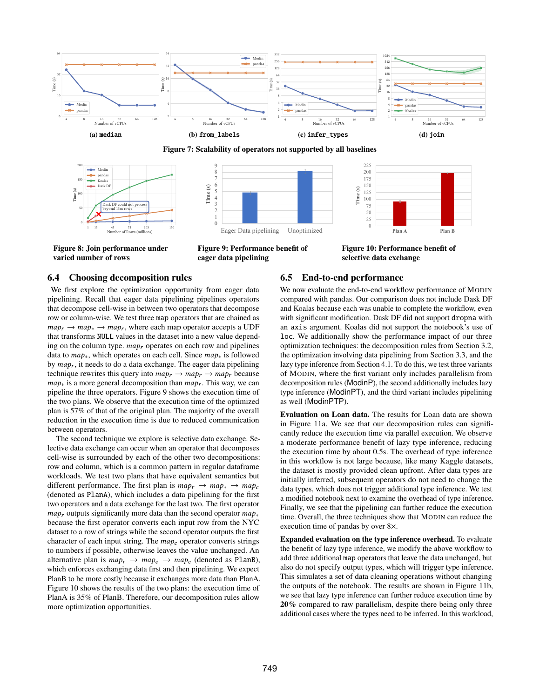<span id="page-10-2"></span>



<span id="page-10-3"></span>

Figure 8: Join performance under varied number of rows

Figure 9: Performance benefit of eager data pipelining

Figure 10: Performance benefit of selective data exchange

#### <span id="page-10-0"></span>6.4 Choosing decomposition rules

We first explore the optimization opportunity from eager data pipelining. Recall that eager data pipelining pipelines operators that decompose cell-wise in between two operators that decompose row or column-wise. We test three map operators that are chained as  $map_r \rightarrow map_* \rightarrow map_r$ , where each map operator accepts a UDF that transforms NULL values in the dataset into a new value depending on the column type.  $map<sub>r</sub>$  operates on each row and pipelines data to  $map_*$ , which operates on each cell. Since  $map_*$  is followed by  $map_r$ , it needs to do a data exchange. The eager data pipelining technique rewrites this query into  $map_r \rightarrow map_r \rightarrow map_r$  because  $map_*$  is a more general decomposition than  $map_r$ . This way, we can pipeline the three operators. Figure [9](#page-10-3) shows the execution time of the two plans. We observe that the execution time of the optimized plan is 57% of that of the original plan. The majority of the overall reduction in the execution time is due to reduced communication between operators.

The second technique we explore is selective data exchange. Selective data exchange can occur when an operator that decomposes cell-wise is surrounded by each of the other two decompositions: row and column, which is a common pattern in regular dataframe workloads. We test two plans that have equivalent semantics but different performance. The first plan is  $map_r \rightarrow map_* \rightarrow map_c$ (denoted as PlanA), which includes a data pipelining for the first two operators and a data exchange for the last two. The first operator  $map_r$  outputs significantly more data than the second operator  $map_*$ because the first operator converts each input row from the NYC dataset to a row of strings while the second operator outputs the first character of each input string. The  $map_c$  operator converts strings to numbers if possible, otherwise leaves the value unchanged. An alternative plan is  $map_r \rightarrow map_c \rightarrow map_c$  (denoted as PlanB), which enforces exchanging data first and then pipelining. We expect PlanB to be more costly because it exchanges more data than PlanA. Figure [10](#page-10-3) shows the results of the two plans: the execution time of PlanA is 35% of PlanB. Therefore, our decomposition rules allow more optimization opportunities.

#### <span id="page-10-1"></span>6.5 End-to-end performance

We now evaluate the end-to-end workflow performance of MODIN compared with pandas. Our comparison does not include Dask DF and Koalas because each was unable to complete the workflow, even with significant modification. Dask DF did not support dropna with an axis argument. Koalas did not support the notebook's use of loc. We additionally show the performance impact of our three optimization techniques: the decomposition rules from Section [3.2,](#page-3-3) the optimization involving data pipelining from Section [3.3,](#page-5-2) and the lazy type inference from Section [4.1.](#page-6-2) To do this, we test three variants of MODIN, where the first variant only includes parallelism from decomposition rules (ModinP), the second additionally includes lazy type inference (ModinPT), and the third variant includes pipelining as well (ModinPTP).

Evaluation on Loan data. The results for Loan data are shown in Figure [11a](#page-11-1). We see that our decomposition rules can significantly reduce the execution time via parallel execution. We observe a moderate performance benefit of lazy type inference, reducing the execution time by about 0.5s. The overhead of type inference in this workflow is not large because, like many Kaggle datasets, the dataset is mostly provided clean upfront. After data types are initially inferred, subsequent operators do not need to change the data types, which does not trigger additional type inference. We test a modified notebook next to examine the overhead of type inference. Finally, we see that the pipelining can further reduce the execution time. Overall, the three techniques show that MODIN can reduce the execution time of pandas by over 8×.

Expanded evaluation on the type inference overhead. To evaluate the benefit of lazy type inference, we modify the above workflow to add three additional map operators that leave the data unchanged, but also do not specify output types, which will trigger type inference. This simulates a set of data cleaning operations without changing the outputs of the notebook. The results are shown in Figure [11b](#page-11-1), we see that lazy type inference can further reduce execution time by 20% compared to raw parallelism, despite there being only three additional cases where the types need to be inferred. In this workload,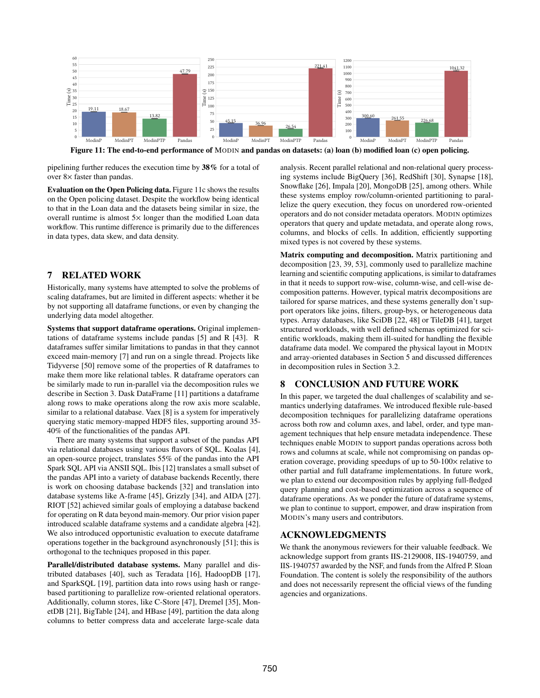<span id="page-11-1"></span>

Figure 11: The end-to-end performance of MODIN and pandas on datasets: (a) loan (b) modified loan (c) open policing.

pipelining further reduces the execution time by 38% for a total of over 8× faster than pandas.

Evaluation on the Open Policing data. Figure [11c](#page-11-1) shows the results on the Open policing dataset. Despite the workflow being identical to that in the Loan data and the datasets being similar in size, the overall runtime is almost 5× longer than the modified Loan data workflow. This runtime difference is primarily due to the differences in data types, data skew, and data density.

## <span id="page-11-0"></span>7 RELATED WORK

Historically, many systems have attempted to solve the problems of scaling dataframes, but are limited in different aspects: whether it be by not supporting all dataframe functions, or even by changing the underlying data model altogether.

Systems that support dataframe operations. Original implementations of dataframe systems include pandas [\[5\]](#page-12-0) and R [\[43\]](#page-12-27). R dataframes suffer similar limitations to pandas in that they cannot exceed main-memory [\[7\]](#page-12-28) and run on a single thread. Projects like Tidyverse [\[50\]](#page-12-29) remove some of the properties of R dataframes to make them more like relational tables. R dataframe operators can be similarly made to run in-parallel via the decomposition rules we describe in Section [3.](#page-2-0) Dask DataFrame [\[11\]](#page-12-16) partitions a dataframe along rows to make operations along the row axis more scalable, similar to a relational database. Vaex [\[8\]](#page-12-30) is a system for imperatively querying static memory-mapped HDF5 files, supporting around 35- 40% of the functionalities of the pandas API.

There are many systems that support a subset of the pandas API via relational databases using various flavors of SQL. Koalas [\[4\]](#page-12-10), an open-source project, translates 55% of the pandas into the API Spark SQL API via ANSII SQL. Ibis [\[12\]](#page-12-12) translates a small subset of the pandas API into a variety of database backends Recently, there is work on choosing database backends [\[32\]](#page-12-5) and translation into database systems like A-frame [\[45\]](#page-12-8), Grizzly [\[34\]](#page-12-6), and AIDA [\[27\]](#page-12-31). RIOT [\[52\]](#page-12-32) achieved similar goals of employing a database backend for operating on R data beyond main-memory. Our prior vision paper introduced scalable dataframe systems and a candidate algebra [\[42\]](#page-12-7). We also introduced opportunistic evaluation to execute dataframe operations together in the background asynchronously [\[51\]](#page-12-33); this is orthogonal to the techniques proposed in this paper.

Parallel/distributed database systems. Many parallel and distributed databases [\[40\]](#page-12-34), such as Teradata [\[16\]](#page-12-35), HadoopDB [\[17\]](#page-12-36), and SparkSQL [\[19\]](#page-12-37), partition data into rows using hash or rangebased partitioning to parallelize row-oriented relational operators. Additionally, column stores, like C-Store [\[47\]](#page-12-38), Dremel [\[35\]](#page-12-39), MonetDB [\[21\]](#page-12-40), BigTable [\[24\]](#page-12-41), and HBase [\[49\]](#page-12-42), partition the data along columns to better compress data and accelerate large-scale data

analysis. Recent parallel relational and non-relational query processing systems include BigQuery [\[36\]](#page-12-43), RedShift [\[30\]](#page-12-44), Synapse [\[18\]](#page-12-45), Snowflake [\[26\]](#page-12-46), Impala [\[20\]](#page-12-47), MongoDB [\[25\]](#page-12-48), among others. While these systems employ row/column-oriented partitioning to parallelize the query execution, they focus on unordered row-oriented operators and do not consider metadata operators. MODIN optimizes operators that query and update metadata, and operate along rows, columns, and blocks of cells. In addition, efficiently supporting mixed types is not covered by these systems.

Matrix computing and decomposition. Matrix partitioning and decomposition [\[23,](#page-12-49) [39,](#page-12-50) [53\]](#page-12-51), commonly used to parallelize machine learning and scientific computing applications, is similar to dataframes in that it needs to support row-wise, column-wise, and cell-wise decomposition patterns. However, typical matrix decompositions are tailored for sparse matrices, and these systems generally don't support operators like joins, filters, group-bys, or heterogeneous data types. Array databases, like SciDB [\[22,](#page-12-14) [48\]](#page-12-52) or TileDB [\[41\]](#page-12-15), target structured workloads, with well defined schemas optimized for scientific workloads, making them ill-suited for handling the flexible dataframe data model. We compared the physical layout in MODIN and array-oriented databases in Section [5](#page-8-0) and discussed differences in decomposition rules in Section [3.2.](#page-3-3)

## 8 CONCLUSION AND FUTURE WORK

In this paper, we targeted the dual challenges of scalability and semantics underlying dataframes. We introduced flexible rule-based decomposition techniques for parallelizing dataframe operations across both row and column axes, and label, order, and type management techniques that help ensure metadata independence. These techniques enable MODIN to support pandas operations across both rows and columns at scale, while not compromising on pandas operation coverage, providing speedups of up to 50-100× relative to other partial and full dataframe implementations. In future work, we plan to extend our decomposition rules by applying full-fledged query planning and cost-based optimization across a sequence of dataframe operations. As we ponder the future of dataframe systems, we plan to continue to support, empower, and draw inspiration from MODIN's many users and contributors.

#### ACKNOWLEDGMENTS

We thank the anonymous reviewers for their valuable feedback. We acknowledge support from grants IIS-2129008, IIS-1940759, and IIS-1940757 awarded by the NSF, and funds from the Alfred P. Sloan Foundation. The content is solely the responsibility of the authors and does not necessarily represent the official views of the funding agencies and organizations.